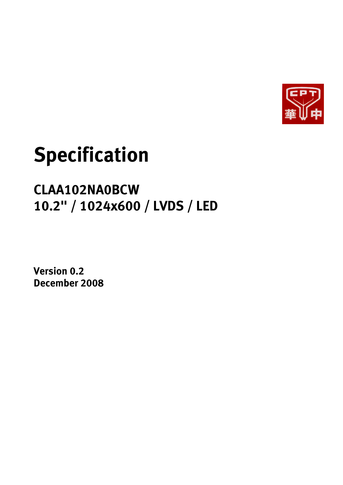

# **Specification**

## **CLAA102NA0BCW 10.2" / 1024x600 / LVDS / LED**

**Version 0.2 December 2008**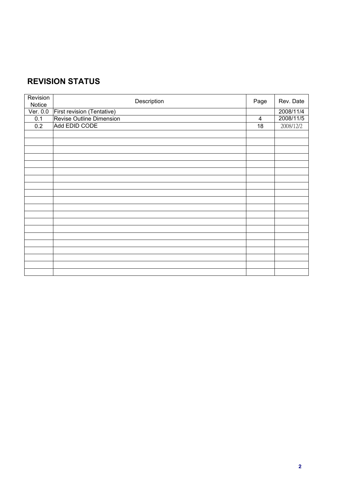## **REVISION STATUS**

| Revision<br>Notice | Description                | Page | Rev. Date |
|--------------------|----------------------------|------|-----------|
| Ver. 0.0           | First revision (Tentative) |      | 2008/11/4 |
| 0.1                | Revise Outline Dimension   | 4    | 2008/11/5 |
| 0.2                | Add EDID CODE              | 18   | 2008/12/2 |
|                    |                            |      |           |
|                    |                            |      |           |
|                    |                            |      |           |
|                    |                            |      |           |
|                    |                            |      |           |
|                    |                            |      |           |
|                    |                            |      |           |
|                    |                            |      |           |
|                    |                            |      |           |
|                    |                            |      |           |
|                    |                            |      |           |
|                    |                            |      |           |
|                    |                            |      |           |
|                    |                            |      |           |
|                    |                            |      |           |
|                    |                            |      |           |
|                    |                            |      |           |
|                    |                            |      |           |
|                    |                            |      |           |
|                    |                            |      |           |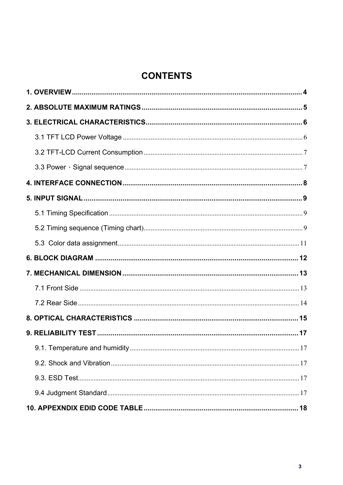## **CONTENTS**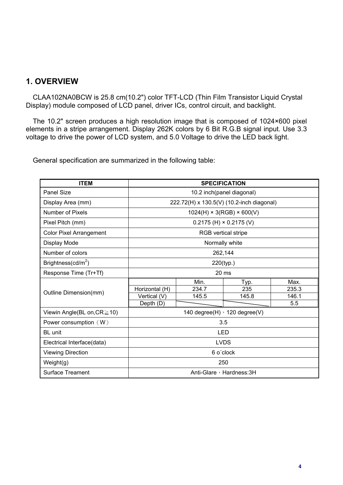#### **1. OVERVIEW**

CLAA102NA0BCW is 25.8 cm(10.2") color TFT-LCD (Thin Film Transistor Liquid Crystal Display) module composed of LCD panel, driver ICs, control circuit, and backlight.

The 10.2" screen produces a high resolution image that is composed of 1024×600 pixel elements in a stripe arrangement. Display 262K colors by 6 Bit R.G.B signal input. Use 3.3 voltage to drive the power of LCD system, and 5.0 Voltage to drive the LED back light.

General specification are summarized in the following table:

| <b>ITEM</b>                       | <b>SPECIFICATION</b>      |                                           |       |       |  |  |  |
|-----------------------------------|---------------------------|-------------------------------------------|-------|-------|--|--|--|
| <b>Panel Size</b>                 | 10.2 inch(panel diagonal) |                                           |       |       |  |  |  |
| Display Area (mm)                 |                           | 222.72(H) x 130.5(V) (10.2-inch diagonal) |       |       |  |  |  |
| Number of Pixels                  |                           | $1024(H) \times 3(RGB) \times 600(V)$     |       |       |  |  |  |
| Pixel Pitch (mm)                  |                           | $0.2175$ (H) $\times$ 0.2175 (V)          |       |       |  |  |  |
| <b>Color Pixel Arrangement</b>    |                           | RGB vertical stripe                       |       |       |  |  |  |
| Display Mode                      |                           | Normally white                            |       |       |  |  |  |
| Number of colors                  |                           | 262,144                                   |       |       |  |  |  |
| Brightness(cd/m <sup>2</sup> )    | 220(typ.)                 |                                           |       |       |  |  |  |
| Response Time (Tr+Tf)             | 20 ms                     |                                           |       |       |  |  |  |
|                                   |                           | Min.                                      | Typ.  | Max.  |  |  |  |
|                                   | Horizontal (H)            | 234.7                                     | 235   | 235.3 |  |  |  |
| Outline Dimension(mm)             | Vertical (V)              | 145.5                                     | 145.8 | 146.1 |  |  |  |
|                                   | Depth (D)                 |                                           |       | 5.5   |  |  |  |
| Viewin Angle(BL on, $CR \ge 10$ ) |                           | 140 degree $(H)$ , 120 degree $(V)$       |       |       |  |  |  |
| Power consumption $(W)$           |                           | 3.5                                       |       |       |  |  |  |
| <b>BL</b> unit                    |                           | <b>LED</b>                                |       |       |  |  |  |
| Electrical Interface(data)        | <b>LVDS</b>               |                                           |       |       |  |  |  |
| <b>Viewing Direction</b>          | 6 o'clock                 |                                           |       |       |  |  |  |
| Weight(g)                         |                           | 250                                       |       |       |  |  |  |
| <b>Surface Treament</b>           |                           | Anti-Glare, Hardness: 3H                  |       |       |  |  |  |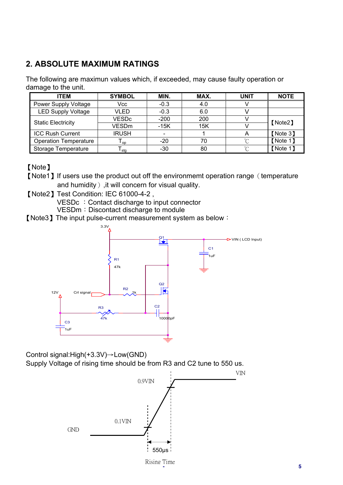## **2. ABSOLUTE MAXIMUM RATINGS**

The following are maximun values which, if exceeded, may cause faulty operation or damage to the unit.

| <b>ITEM</b>                  | <b>SYMBOL</b> | MIN.   | MAX. | <b>UNIT</b> | <b>NOTE</b> |
|------------------------------|---------------|--------|------|-------------|-------------|
| Power Supply Voltage         | Vcc           | $-0.3$ | 4.0  |             |             |
| <b>LED Supply Voltage</b>    | VLED          | $-0.3$ | 6.0  |             |             |
| <b>Static Electricity</b>    | <b>VESDc</b>  | $-200$ | 200  |             | [Note2]     |
|                              | VESDm         | $-15K$ | 15K  |             |             |
| <b>ICC Rush Current</b>      | <b>IRUSH</b>  |        |      |             | [Note 3]    |
| <b>Operation Temperature</b> | l op          | $-20$  | 70   | $\sim$      | [Note 1]    |
| <b>Storage Temperature</b>   | stq           | -30    | 80   |             | [Note 1]    |

#### **[Note]**

[Note1] If users use the product out off the environmemt operation range (temperature and humidity  $\big)$ , it will concern for visual quality.

- [Note2] Test Condition: IEC 61000-4-2, VESDc : Contact discharge to input connector VESDm: Discontact discharge to module
- **[Note3]** The input pulse-current measurement system as below:



Control signal: $High(+3.3V) \rightarrow Low(GND)$ 

Supply Voltage of rising time should be from R3 and C2 tune to 550 us.

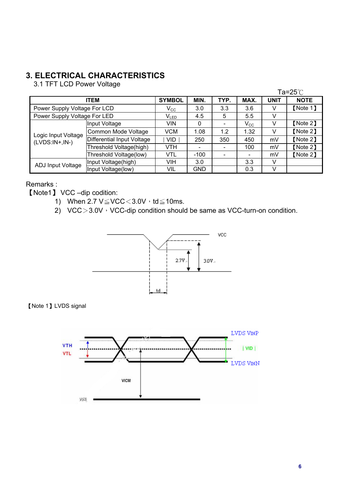## **3. ELECTRICAL CHARACTERISTICS**

3.1 TFT LCD Power Voltage

|                              |                            |                            |                          |      |              |             | Ta=25 $°C$  |
|------------------------------|----------------------------|----------------------------|--------------------------|------|--------------|-------------|-------------|
|                              | <b>ITEM</b>                | <b>SYMBOL</b>              | MIN.                     | TYP. | MAX.         | <b>UNIT</b> | <b>NOTE</b> |
| Power Supply Voltage For LCD |                            | $\mathsf{V}_{\mathsf{CC}}$ | 3.0                      | 3.3  | 3.6          | V           | [Note 1]    |
| Power Supply Voltage For LED |                            | $V_{LED}$                  | 4.5                      | 5    | 5.5          | v           |             |
|                              | Input Voltage              | VIN                        | 0                        |      | $V_{\rm CC}$ | v           | [Note 2]    |
| Logic Input Voltage          | Common Mode Voltage        | <b>VCM</b>                 | 1.08                     | 1.2  | 1.32         | v           | [Note 2]    |
| $(LVDS:IN+,IN-)$             | Differential Input Voltage | <b>VID</b>                 | 250                      | 350  | 450          | mV          | [Note 2]    |
|                              | Threshold Voltage(high)    | VTH                        | $\overline{\phantom{a}}$ |      | 100          | mV          | 【Note 2】    |
|                              | Threshold Voltage(low)     | VTL                        | $-100$                   |      |              | mV          | [Note 2]    |
| <b>ADJ Input Voltage</b>     | Input Voltage(high)        | VIH                        | 3.0                      |      | 3.3          | V           |             |
|                              | Input Voltage(low)         | VIL                        | <b>GND</b>               |      | 0.3          | v           |             |

#### Remarks :

[Note1] VCC –dip codition:

- 1) When  $2.7 \text{ V} \leq \text{VCC} \leq 3.0 \text{ V} \cdot \text{td} \leq 10 \text{ ms}.$
- 2) VCC $>3.0V$ <sup>,</sup> VCC-dip condition should be same as VCC-turn-on condition.





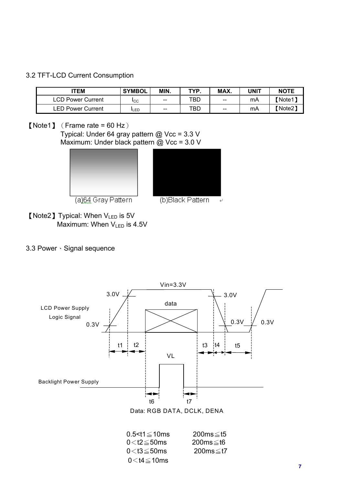#### 3.2 TFT-LCD Current Consumption

| <b>ITEM</b>       | <b>SYMBOL</b>  | MIN.                     | TYP | MAX.  | UNIT | <b>NOTE</b> |
|-------------------|----------------|--------------------------|-----|-------|------|-------------|
| ∟CD Power Current | <sub>ICC</sub> | $-$                      | TBD | $-$   | mA   | 【Note1】     |
| LED Power Current | <b>I</b> LED   | $\overline{\phantom{m}}$ | TBD | $- -$ | mA   | 【Note2】     |

[Note1] (Frame rate = 60 Hz)

Typical: Under 64 gray pattern @ Vcc = 3.3 V Maximum: Under black pattern @ Vcc = 3.0 V





(a)64 Gray Pattern



**[Note2] Typical: When VLED is 5V** Maximum: When  $V_{\text{LED}}$  is 4.5V

#### 3.3 Power Signal sequence



 $0.5 < t1 \le 10$ ms  $200$ ms  $\le t5$  $0 < t2 \leq 50$ ms  $200$ ms $\leq t6$  $0 < t3 \le 50$ ms 200ms $\le t7$  $0<$ t4 $\leq$ 10ms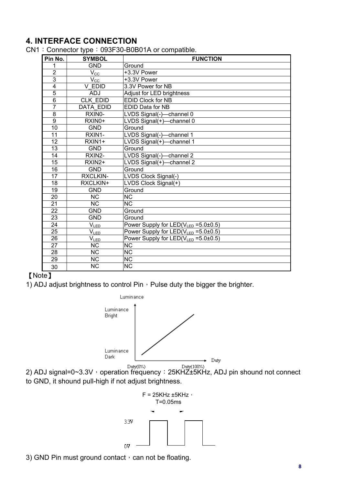#### **4. INTERFACE CONNECTION**

CN1: Connector type: 093F30-B0B01A or compatible.

| Pin No.                 | <b>SYMBOL</b>          | <b>FUNCTION</b>                                  |
|-------------------------|------------------------|--------------------------------------------------|
| 1                       | <b>GND</b>             | Ground                                           |
| $\overline{2}$          | $V_{\rm CC}$           | +3.3V Power                                      |
| 3                       | $V_{\rm CC}$           | +3.3V Power                                      |
| $\overline{\mathbf{4}}$ | V EDID                 | 3.3V Power for NB                                |
| 5                       | <b>ADJ</b>             | Adjust for LED brightness                        |
| 6                       | <b>CLK EDID</b>        | <b>EDID Clock for NB</b>                         |
| $\overline{7}$          | <b>DATA EDID</b>       | <b>EDID Data for NB</b>                          |
| 8                       | RXIN0-                 | LVDS Signal(-)-channel 0                         |
| 9                       | RXIN0+                 | LVDS Signal(+)-channel 0                         |
| 10                      | <b>GND</b>             | Ground                                           |
| 11                      | RXIN1-                 | LVDS Signal(-)-channel 1                         |
| 12                      | RXIN1+                 | LVDS Signal(+)-channel 1                         |
| 13                      | <b>GND</b>             | Ground                                           |
| 14                      | RXIN2-                 | LVDS Signal(-)-channel 2                         |
| 15                      | RXIN2+                 | LVDS Signal(+)-channel 2                         |
| 16                      | <b>GND</b>             | Ground                                           |
| 17                      | <b>RXCLKIN-</b>        | LVDS Clock Signal(-)                             |
| 18                      | RXCLKIN+               | LVDS Clock Signal(+)                             |
| 19                      | <b>GND</b>             | Ground                                           |
| 20                      | <b>NC</b>              | <b>NC</b>                                        |
| $\overline{21}$         | $\overline{\text{NC}}$ | $\overline{\text{NC}}$                           |
| 22                      | <b>GND</b>             | Ground                                           |
| 23                      | <b>GND</b>             | Ground                                           |
| 24                      | $V_{LED}$              | Power Supply for $LED(V_{LED} = 5.0 \pm 0.5)$    |
| 25                      | $V_{LED}$              | Power Supply for LED(V <sub>LED</sub> = 5.0±0.5) |
| 26                      | $V_{LED}$              | Power Supply for $LED(V_{LED} = 5.0 \pm 0.5)$    |
| $\overline{27}$         | <b>NC</b>              | <b>NC</b>                                        |
| 28                      | <b>NC</b>              | <b>NC</b>                                        |
| 29                      | <b>NC</b>              | <b>NC</b>                                        |
| 30                      | <b>NC</b>              | <b>NC</b>                                        |

#### [Note]

1) ADJ adjust brightness to control Pin, Pulse duty the bigger the brighter.



<sup>Duty(0%)</sup><br>2) ADJ signal=0~3.3V<sup>3</sup> operation frequency : 25KHZ±5KHz, ADJ pin shound not connect to GND, it shound pull-high if not adjust brightness.



3) GND Pin must ground contact  $\cdot$  can not be floating.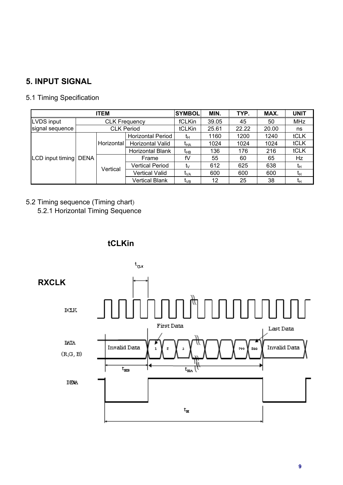## **5. INPUT SIGNAL**

#### 5.1 Timing Specification

|                  |             | <b>ITEM</b>          |                        | <b>SYMBOL</b>         | MIN.            | TYP.  | MAX.  | <b>UNIT</b> |
|------------------|-------------|----------------------|------------------------|-----------------------|-----------------|-------|-------|-------------|
| LVDS input       |             | <b>CLK Frequency</b> |                        | fCLKin                | 39.05           | 45    | 50    | <b>MHz</b>  |
| signal sequence  |             | <b>CLK Period</b>    |                        | tCLKin                | 25.61           | 22.22 | 20.00 | ns          |
|                  |             |                      | Horizontal Period      | tμ                    | 1160            | 1200  | 1240  | tCLK        |
|                  |             | Horizontal           | Horizontal Valid       | t <sub>HA</sub>       | 1024            | 1024  | 1024  | tCLK        |
|                  |             |                      | Horizontal Blank       | t <sub>нв</sub>       | 136             | 176   | 216   | tCLK        |
| LCD input timing | <b>DENA</b> |                      | Frame                  | fV                    | 55              | 60    | 65    | Hz          |
|                  |             |                      | <b>Vertical Period</b> | tv                    | 612             | 625   | 638   | tн          |
|                  |             |                      | Vertical               | <b>Vertical Valid</b> | t <sub>VA</sub> | 600   | 600   | 600         |
|                  |             |                      | <b>Vertical Blank</b>  | t <sub>∨B</sub>       | 12              | 25    | 38    | īн          |

## 5.2 Timing sequence (Timing chart)

5.2.1 Horizontal Timing Sequence



#### **tCLKin**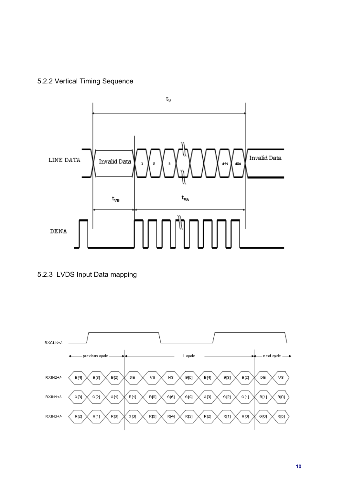## 5.2.2 Vertical Timing Sequence





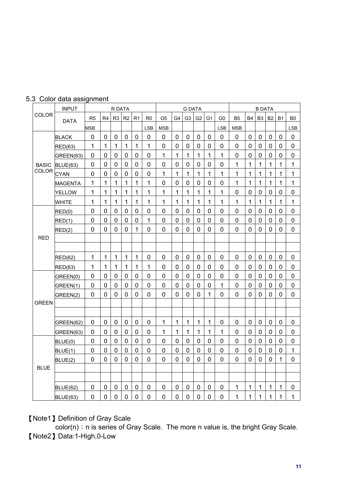|              | <b>INPUT</b>    |                |                | R DATA         |                |                |                |                |                | <b>G DATA</b>  |                |             |                |                |                | <b>B DATA</b>  |                |             |                |
|--------------|-----------------|----------------|----------------|----------------|----------------|----------------|----------------|----------------|----------------|----------------|----------------|-------------|----------------|----------------|----------------|----------------|----------------|-------------|----------------|
| <b>COLOR</b> | <b>DATA</b>     | R <sub>5</sub> | R <sub>4</sub> | R <sub>3</sub> | R <sub>2</sub> | R <sub>1</sub> | R <sub>0</sub> | G <sub>5</sub> | G4             | G <sub>3</sub> | G <sub>2</sub> | G1          | G <sub>0</sub> | B <sub>5</sub> | <b>B4</b>      | B <sub>3</sub> | B <sub>2</sub> | <b>B1</b>   | B <sub>0</sub> |
|              |                 | <b>MSB</b>     |                |                |                |                | <b>LSB</b>     | <b>MSB</b>     |                |                |                |             | <b>LSB</b>     | <b>MSB</b>     |                |                |                |             | <b>LSB</b>     |
|              | <b>BLACK</b>    | 0              | 0              | $\mathbf 0$    | 0              | 0              | $\mathbf 0$    | 0              | 0              | 0              | 0              | 0           | 0              | 0              | $\mathbf 0$    | 0              | 0              | 0           | 0              |
|              | <b>RED(63)</b>  | $\mathbf{1}$   | $\mathbf{1}$   | 1              | 1              | $\mathbf{1}$   | 1              | $\mathbf 0$    | 0              | 0              | 0              | 0           | $\mathbf 0$    | $\overline{0}$ | $\mathbf 0$    | $\mathbf 0$    | $\mathbf 0$    | 0           | 0              |
|              | GREEN(63)       | 0              | $\mathbf 0$    | $\mathbf 0$    | $\mathbf 0$    | 0              | $\mathbf 0$    | 1              | 1              | 1              | 1              | 1           | 1              | $\overline{0}$ | $\overline{0}$ | $\mathbf 0$    | $\mathbf 0$    | 0           | $\mathbf 0$    |
| <b>BASIC</b> | <b>BLUE(63)</b> | 0              | 0              | 0              | 0              | 0              | 0              | 0              | $\mathbf 0$    | 0              | 0              | 0           | 0              | 1              | 1              | 1              | 1              | 1           | 1              |
| COLOR        | <b>CYAN</b>     | 0              | $\mathbf 0$    | $\mathbf 0$    | $\mathbf 0$    | $\mathbf 0$    | $\mathbf 0$    | $\mathbf{1}$   | 1              | 1              | 1              | 1           | $\mathbf{1}$   | 1              | $\mathbf{1}$   | $\overline{1}$ | 1              | 1           | 1              |
|              | <b>MAGENTA</b>  | 1              | 1              | 1              | 1              | 1              | 1              | $\mathbf 0$    | 0              | 0              | 0              | 0           | 0              | 1              | 1              | 1              | 1              | 1           | 1              |
|              | <b>YELLOW</b>   | 1              | 1              | 1              | 1              | 1              | 1              | 1              | 1              | 1              | 1              | 1           | 1              | $\mathbf 0$    | $\mathbf 0$    | $\mathbf 0$    | 0              | 0           | 0              |
|              | <b>WHITE</b>    | 1              | 1              | 1              | $\mathbf{1}$   | $\mathbf{1}$   | 1              | $\mathbf{1}$   | 1              | 1              | 1              | 1           | 1              | 1              | $\mathbf 1$    | 1              | $\mathbf{1}$   | 1           | 1              |
|              | RED(0)          | 0              | $\mathbf 0$    | $\mathbf 0$    | $\mathbf 0$    | 0              | $\mathbf 0$    | $\overline{0}$ | 0              | 0              | $\overline{0}$ | 0           | $\overline{0}$ | $\overline{0}$ | $\Omega$       | 0              | $\mathbf 0$    | 0           | $\mathbf 0$    |
|              | RED(1)          | 0              | $\mathbf 0$    | $\mathbf 0$    | $\mathbf 0$    | 0              | 1              | 0              | 0              | 0              | 0              | 0           | $\mathbf 0$    | 0              | $\mathbf 0$    | $\mathbf 0$    | $\mathbf 0$    | 0           | 0              |
|              | RED(2)          | 0              | $\mathbf 0$    | $\mathbf 0$    | $\mathbf 0$    | 1              | $\mathbf 0$    | $\mathbf 0$    | $\mathbf 0$    | 0              | $\mathbf 0$    | 0           | 0              | $\overline{0}$ | $\overline{0}$ | $\overline{0}$ | $\overline{0}$ | $\mathbf 0$ | $\mathbf 0$    |
| <b>RED</b>   |                 |                |                |                |                |                |                |                |                |                |                |             |                |                |                |                |                |             |                |
|              |                 |                |                |                |                |                |                |                |                |                |                |             |                |                |                |                |                |             |                |
|              | <b>RED(62)</b>  | $\mathbf{1}$   | $\mathbf{1}$   | 1              | 1              | $\mathbf{1}$   | $\mathbf 0$    | $\mathbf 0$    | $\mathbf 0$    | $\mathbf 0$    | $\mathbf 0$    | $\mathbf 0$ | $\mathbf 0$    | $\mathbf 0$    | $\mathbf 0$    | $\mathbf 0$    | $\mathbf 0$    | $\mathbf 0$ | $\mathbf 0$    |
|              | <b>RED(63)</b>  | 1              | 1              | 1              | 1              | 1              | 1              | $\mathbf 0$    | 0              | 0              | 0              | 0           | 0              | 0              | 0              | $\mathbf 0$    | 0              | 0           | 0              |
|              | GREEN(0)        | 0              | $\mathbf 0$    | 0              | 0              | 0              | $\mathbf 0$    | 0              | 0              | 0              | 0              | 0           | $\mathbf 0$    | $\mathbf 0$    | $\mathbf 0$    | $\mathbf 0$    | $\mathbf 0$    | 0           | 0              |
|              | GREEN(1)        | 0              | $\mathbf 0$    | $\mathbf 0$    | $\mathbf 0$    | 0              | $\mathbf 0$    | $\mathbf 0$    | 0              | 0              | 0              | 0           | 1              | $\overline{0}$ | $\overline{0}$ | $\overline{0}$ | 0              | $\mathbf 0$ | 0              |
|              | GREEN(2)        | 0              | 0              | 0              | 0              | 0              | $\overline{0}$ | $\overline{0}$ | $\overline{0}$ | 0              | 0              | 1           | $\overline{0}$ | 0              | 0              | 0              | 0              | 0           | 0              |
| <b>GREEN</b> |                 |                |                |                |                |                |                |                |                |                |                |             |                |                |                |                |                |             |                |
|              |                 |                |                |                |                |                |                |                |                |                |                |             |                |                |                |                |                |             |                |
|              | GREEN(62)       | 0              | 0              | 0              | $\mathbf 0$    | 0              | $\overline{0}$ | $\mathbf{1}$   | 1              | 1              | 1              | 1           | $\overline{0}$ | $\overline{0}$ | 0              | $\mathbf 0$    | 0              | 0           | 0              |
|              | GREEN(63)       | 0              | 0              | 0              | 0              | 0              | $\mathbf 0$    | 1              | 1              | 1              | 1              | 1           | 1              | 0              | 0              | 0              | 0              | 0           | 0              |
|              | BLUE(0)         | $\mathbf 0$    | $\mathbf 0$    | $\mathbf 0$    | $\mathbf 0$    | $\mathbf 0$    | $\mathbf 0$    | $\mathbf 0$    | $\mathbf 0$    | $\mathbf 0$    | $\mathbf 0$    | $\mathbf 0$ | $\mathbf 0$    | $\overline{0}$ | $\mathbf 0$    | $\mathbf 0$    | $\mathbf 0$    | $\mathbf 0$ | 0              |
|              | BLUE(1)         | 0              | $\mathbf 0$    | 0              | 0              | 0              | $\overline{0}$ | 0              | $\overline{0}$ | 0              | $\overline{0}$ | 0           | $\overline{0}$ | $\overline{0}$ | $\mathbf 0$    | 0              | 0              | 0           | 1              |
|              | BLUE(2)         | 0              | $\Omega$       | 0              | $\mathbf 0$    | 0              | $\mathbf 0$    | 0              | 0              | 0              | 0              | 0           | 0              | $\Omega$       | $\mathbf 0$    | $\Omega$       | 0              | 1           | 0              |
| <b>BLUE</b>  |                 |                |                |                |                |                |                |                |                |                |                |             |                |                |                |                |                |             |                |
|              |                 |                |                |                |                |                |                |                |                |                |                |             |                |                |                |                |                |             |                |
|              | <b>BLUE(62)</b> | 0              | 0              | 0              | 0              | 0              | 0              | 0              | 0              | 0              | 0              | 0           | 0              | 1              | $\mathbf 1$    | 1              | 1              | 1           | 0              |
|              | <b>BLUE(63)</b> | 0              | $\mathbf 0$    | $\mathbf 0$    | $\mathbf 0$    | $\mathbf 0$    | $\mathbf 0$    | $\mathbf 0$    | $\mathbf 0$    | 0              | $\mathbf 0$    | $\mathbf 0$ | 0              | 1              | 1              | 1              | 1              | 1           | 1              |

#### 5.3 Color data assignment

**[Note1] Definition of Gray Scale** 

 $\overline{\text{color}}(n)$ : n is series of Gray Scale. The more n value is, the bright Gray Scale. [Note2] Data:1-High,0-Low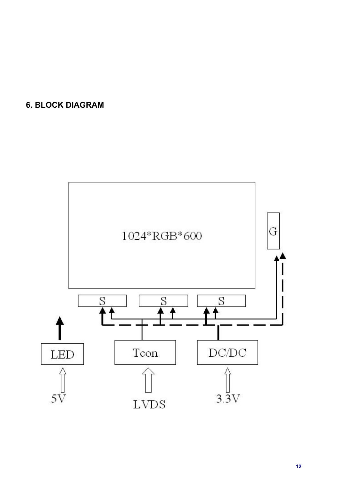## **6. BLOCK DIAGRAM**

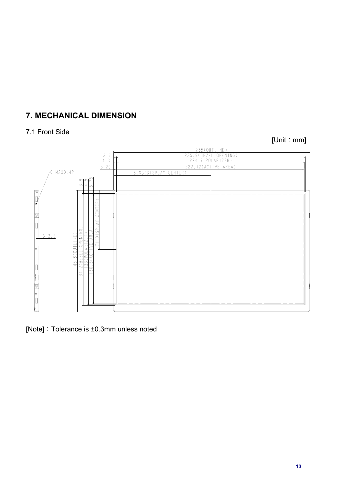## **7. MECHANICAL DIMENSION**

#### 7.1 Front Side

 $[Unit : mm]$ 



[Note]: Tolerance is  $\pm 0.3$ mm unless noted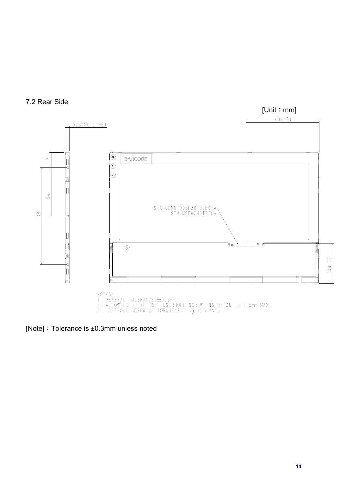



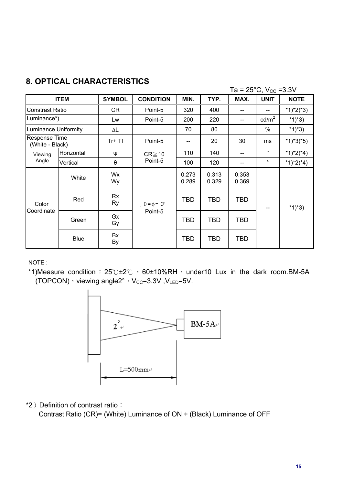|                                         |                                   |               |                             |                |                | Ta = $25^{\circ}$ C, V <sub>cc</sub> = 3.3V |                 |             |
|-----------------------------------------|-----------------------------------|---------------|-----------------------------|----------------|----------------|---------------------------------------------|-----------------|-------------|
|                                         | <b>ITEM</b>                       | <b>SYMBOL</b> | <b>CONDITION</b>            | MIN.           | TYP.           | MAX.                                        | <b>UNIT</b>     | <b>NOTE</b> |
| Constrast Ratio                         |                                   | CR            | Point-5                     | 320            | 400            |                                             |                 | $*1)*2)*3)$ |
| Luminance*)                             |                                   | Lw            | Point-5                     | 200            | 220            | --                                          | $\text{cd/m}^2$ | $*1)*3)$    |
| <b>Luminance Uniformity</b>             |                                   | ΔL            |                             | 70             | 80             |                                             | $\%$            | *1)*3)      |
| <b>Response Time</b><br>(White - Black) |                                   | $Tr+Tf$       | Point-5                     | --             | 20             | 30                                          | ms              | $*1)*3*5)$  |
| Viewing                                 | Horizontal                        | ψ             | $CR \ge 10$                 | 110            | 140            | --                                          | $\circ$         | $*1)*2)*4)$ |
| Angle                                   | $\boldsymbol{\theta}$<br>Vertical |               | Point-5                     | 100            | 120            | --                                          | $\circ$         | $*1)*2)*4)$ |
|                                         | White                             | Wx<br>Wy      |                             | 0.273<br>0.289 | 0.313<br>0.329 | 0.353<br>0.369                              |                 |             |
| Color                                   | Red                               | Rx<br>Ry      | $\theta = \phi = 0^{\circ}$ | <b>TBD</b>     | <b>TBD</b>     | <b>TBD</b>                                  | --              | *1)*3)      |
| Coordinate                              | Green                             | Gx<br>Gy      | Point-5                     | <b>TBD</b>     | <b>TBD</b>     | <b>TBD</b>                                  |                 |             |
|                                         | <b>Blue</b>                       | Bx<br>By      |                             | TBD            | <b>TBD</b>     | <b>TBD</b>                                  |                 |             |

## **8. OPTICAL CHARACTERISTICS**

NOTE :

\*1)Measure condition:  $25^\circ$ C ±2 $^\circ$ C  $\cdot$  60±10%RH $\cdot$  under10 Lux in the dark room.BM-5A (TOPCON)  $\cdot$  viewing angle2°  $\cdot$  V<sub>CC</sub>=3.3V ,V<sub>LED</sub>=5V.



\*2) Definition of contrast ratio: Contrast Ratio (CR)= (White) Luminance of ON ÷ (Black) Luminance of OFF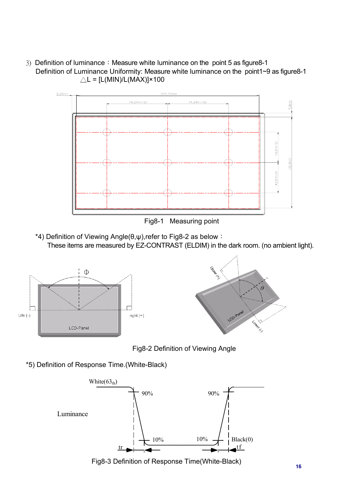3) Definition of luminance: Measure white luminance on the point 5 as figure8-1 Definition of Luminance Uniformity: Measure white luminance on the point1~9 as figure8-1  $\triangle L = [L(MIN)/L(MAX)] \times 100$ 



Fig8-1 Measuring point

 $*$ 4) Definition of Viewing Angle( $\theta, \psi$ ),refer to Fig8-2 as below : These items are measured by EZ-CONTRAST (ELDIM) in the dark room. (no ambient light).



Fig8-2 Definition of Viewing Angle

\*5) Definition of Response Time.(White-Black)



Fig8-3 Definition of Response Time(White-Black) **16**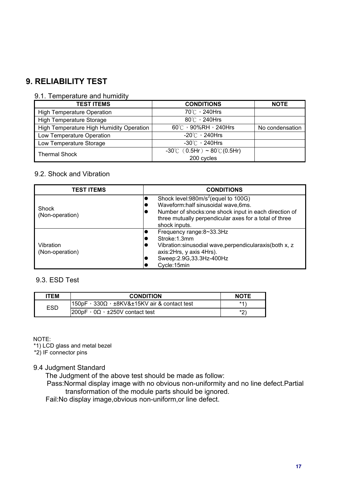## **9. RELIABILITY TEST**

#### 9.1. Temperature and humidity

| <b>TEST ITEMS</b>                        | <b>CONDITIONS</b>                                 | <b>NOTE</b>     |
|------------------------------------------|---------------------------------------------------|-----------------|
| <b>High Temperature Operation</b>        | 70℃, 240Hrs                                       |                 |
| <b>High Temperature Storage</b>          | $80^{\circ}$ / 240Hrs                             |                 |
| High Temperature High Humidity Operation | $60^{\circ}$ $\circ$ 90%RH $\cdot$ 240Hrs         | No condensation |
| Low Temperature Operation                | $-20^{\circ}$ / 240Hrs                            |                 |
| Low Temperature Storage                  | $-30^{\circ}$ $\circ$ 240Hrs                      |                 |
| <b>Thermal Shock</b>                     | $-30^{\circ}$ C (0.5Hr) ~ 80 $^{\circ}$ C (0.5Hr) |                 |
|                                          | 200 cycles                                        |                 |

#### 9.2. Shock and Vibration

| <b>TEST ITEMS</b>            | <b>CONDITIONS</b>                                                                                                                                                                                                               |
|------------------------------|---------------------------------------------------------------------------------------------------------------------------------------------------------------------------------------------------------------------------------|
| Shock<br>(Non-operation)     | Shock level:980m/s <sup>2</sup> (equel to 100G)<br>Waveform:half sinusoidal wave,6ms.<br>Number of shocks: one shock input in each direction of<br>v<br>three mutually perpendicular axes for a total of three<br>shock inputs. |
| Vibration<br>(Non-operation) | Frequency range:8~33.3Hz<br>Stroke: 1.3mm<br>Vibration: sinusodial wave, perpendicularaxis (both x, z<br>IU<br>axis: 2Hrs, y axis 4Hrs).<br>Sweep: 2.9G, 33.3Hz-400Hz<br>▼<br>Cycle:15min                                       |

#### 9.3. ESD Test

| <b>ITEM</b> | <b>CONDITION</b>                                                   | <b>NOTE</b> |
|-------------|--------------------------------------------------------------------|-------------|
| ESD         | $150pF \cdot 330\Omega \cdot \pm 8KV\&\pm 15KV$ air & contact test | *1)         |
|             | $1200$ pF $\cdot$ 0 $\Omega$ $\cdot$ ±250V contact test            | $*$         |

NOTE:

\*1) LCD glass and metal bezel

\*2) IF connector pins

#### 9.4 Judgment Standard

The Judgment of the above test should be made as follow:

 Pass:Normal display image with no obvious non-uniformity and no line defect.Partial transformation of the module parts should be ignored.

Fail:No display image,obvious non-uniform,or line defect.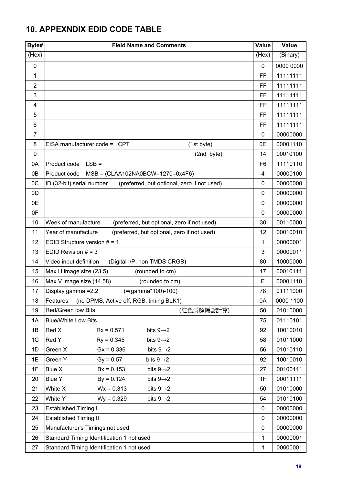## **10. APPEXNDIX EDID CODE TABLE**

| Byte#          | <b>Field Name and Comments</b>                                           | <b>Value</b>   | Value     |
|----------------|--------------------------------------------------------------------------|----------------|-----------|
| (Hex)          |                                                                          | (Hex)          | (Binary)  |
| $\mathbf 0$    |                                                                          | 0              | 0000 0000 |
| 1              |                                                                          | FF             | 11111111  |
| $\overline{2}$ |                                                                          | FF             | 11111111  |
| 3              |                                                                          | FF             | 11111111  |
| 4              |                                                                          | FF             | 11111111  |
| 5              |                                                                          | FF             | 11111111  |
| 6              |                                                                          | FF             | 11111111  |
| $\overline{7}$ |                                                                          | 0              | 00000000  |
| 8              | EISA manufacturer code = CPT<br>(1st byte)                               | 0E             | 00001110  |
| 9              | (2nd byte)                                                               | 14             | 00010100  |
| 0A             | Product code LSB =                                                       | F <sub>6</sub> | 11110110  |
| 0B             | $MSB = (CLAA102NA0BCW=1270=0x4F6)$<br>Product code                       | 4              | 00000100  |
| OC             | ID (32-bit) serial number<br>(preferred, but optional, zero if not used) | 0              | 00000000  |
| 0D             |                                                                          | 0              | 00000000  |
| 0E             |                                                                          | 0              | 00000000  |
| 0F             |                                                                          | 0              | 00000000  |
| 10             | Week of manufacture<br>(preferred, but optional, zero if not used)       | 30             | 00110000  |
| 11             | (preferred, but optional, zero if not used)<br>Year of manufacture       | 12             | 00010010  |
| 12             | EDID Structure version $# = 1$                                           | 1              | 00000001  |
| 13             | EDID Revision $# = 3$                                                    | 3              | 00000011  |
| 14             | (Digital I/P, non TMDS CRGB)<br>Video input definition                   | 80             | 10000000  |
| 15             | Max H image size (23.5)<br>(rounded to cm)                               | 17             | 00010111  |
| 16             | Max V image size (14.58)<br>(rounded to cm)                              | Е              | 00001110  |
| 17             | Display gamma = 2.2<br>$(=(gamma*100)-100)$                              | 78             | 01111000  |
| 18             | Features (no DPMS, Active off, RGB, timing BLK1)                         | 0A             | 0000 1100 |
| 19             | Red/Green low Bits<br>(紅色爲解碼器計算)                                         | 50             | 01010000  |
| 1A             | <b>Blue/White Low Bits</b>                                               | 75             | 01110101  |
| 1B             | Red X<br>$Rx = 0.571$<br>bits $9 \rightarrow 2$                          | 92             | 10010010  |
| 1 <sup>C</sup> | Red Y<br>$Rv = 0.345$<br>bits $9 \rightarrow 2$                          | 58             | 01011000  |
| 1D             | Green X<br>$Gx = 0.336$<br>bits $9 \rightarrow 2$                        | 56             | 01010110  |
| 1E             | Green Y<br>$Gy = 0.57$<br>bits $9 \rightarrow 2$                         | 92             | 10010010  |
| 1F             | Blue X<br>$Bx = 0.153$<br>bits $9 \rightarrow 2$                         | 27             | 00100111  |
| 20             | <b>Blue Y</b><br>$By = 0.124$<br>bits $9 \rightarrow 2$                  | 1F             | 00011111  |
| 21             | $Wx = 0.313$<br>White X<br>bits $9 \rightarrow 2$                        | 50             | 01010000  |
| 22             | White Y<br>$Wy = 0.329$<br>bits $9 \rightarrow 2$                        | 54             | 01010100  |
| 23             | <b>Established Timing I</b>                                              | 0              | 00000000  |
| 24             | <b>Established Timing II</b>                                             | 0              | 00000000  |
| 25             | Manufacturer's Timings not used                                          | 0              | 00000000  |
| 26             | Standard Timing Identification 1 not used                                | 1              | 00000001  |
| 27             | Standard Timing Identification 1 not used                                | 1              | 00000001  |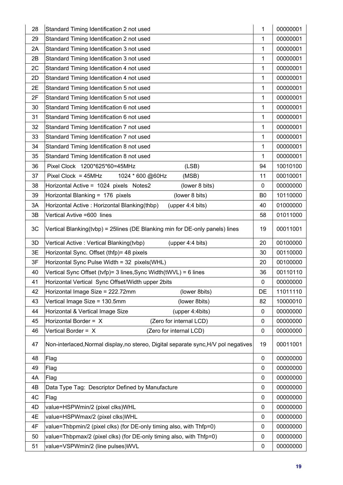| 28 | Standard Timing Identification 2 not used                                           | 1              | 00000001 |
|----|-------------------------------------------------------------------------------------|----------------|----------|
| 29 | Standard Timing Identification 2 not used                                           |                | 00000001 |
| 2A | Standard Timing Identification 3 not used                                           | 1              | 00000001 |
| 2B | Standard Timing Identification 3 not used                                           |                | 00000001 |
| 2C | Standard Timing Identification 4 not used                                           |                | 00000001 |
| 2D | Standard Timing Identification 4 not used                                           | 1              | 00000001 |
| 2E | Standard Timing Identification 5 not used                                           | 1              | 00000001 |
| 2F | Standard Timing Identification 5 not used                                           | 1              | 00000001 |
| 30 | Standard Timing Identification 6 not used                                           | 1              | 00000001 |
| 31 | Standard Timing Identification 6 not used                                           | 1              | 00000001 |
| 32 | Standard Timing Identification 7 not used                                           | 1              | 00000001 |
| 33 | Standard Timing Identification 7 not used                                           | 1              | 00000001 |
| 34 | Standard Timing Identification 8 not used                                           | 1              | 00000001 |
| 35 | Standard Timing Identification 8 not used                                           | 1              | 00000001 |
| 36 | Pixel Clock 1200*625*60=45MHz<br>(LSB)                                              | 94             | 10010100 |
| 37 | Pixel Clock = $45MHz$<br>1024 * 600 @60Hz<br>(MSB)                                  | 11             | 00010001 |
| 38 | Horizontal Active = 1024 pixels Notes2<br>(lower 8 bits)                            | $\mathbf 0$    | 00000000 |
| 39 | Horizontal Blanking = 176 pixels<br>(lower 8 bits)                                  | B <sub>0</sub> | 10110000 |
| 3A | Horizontal Active: Horizontal Blanking(thbp)<br>(upper 4:4 bits)                    |                | 01000000 |
| 3B | Vertical Avtive =600 lines                                                          | 58             | 01011000 |
| 3C | Vertical Blanking(tvbp) = 25lines (DE Blanking min for DE-only panels) lines        | 19             | 00011001 |
| 3D | Vertical Active: Vertical Blanking(tvbp)<br>(upper 4:4 bits)                        | 20             | 00100000 |
| 3E | Horizontal Sync. Offset (thfp)= 48 pixels                                           | 30             | 00110000 |
| 3F | Horizontal Sync Pulse Width = 32 pixels(WHL)                                        | 20             | 00100000 |
| 40 | Vertical Sync Offset (tvfp)= 3 lines, Sync Width(tWVL) = 6 lines                    |                | 00110110 |
| 41 | Horizontal Vertical Sync Offset/Width upper 2bits                                   |                | 00000000 |
| 42 | Horizontal Image Size = 222.72mm<br>(lower 8bits)                                   | DE             | 11011110 |
| 43 | Vertical Image Size = 130.5mm<br>(lower 8bits)                                      | 82             | 10000010 |
| 44 | Horizontal & Vertical Image Size<br>(upper 4:4bits)                                 | 0              | 00000000 |
| 45 | Horizontal Border = X<br>(Zero for internal LCD)                                    |                | 00000000 |
| 46 | Vertical Border = X<br>(Zero for internal LCD)                                      | $\mathbf 0$    | 00000000 |
| 47 | Non-interlaced, Normal display, no stereo, Digital separate sync, H/V pol negatives | 19             | 00011001 |
| 48 | Flag                                                                                | 0              | 00000000 |
| 49 | Flag                                                                                | 0              | 00000000 |
| 4A | Flag                                                                                | 0              | 00000000 |
| 4B | Data Type Tag: Descriptor Defined by Manufacture                                    | 0              | 00000000 |
| 4C | Flag                                                                                | 0              | 00000000 |
| 4D | value=HSPWmin/2 (pixel clks)WHL                                                     | 0              | 00000000 |
| 4E | value=HSPWmax/2 (pixel clks)WHL                                                     | 0              | 00000000 |
| 4F | value=Thbpmin/2 (pixel clks) (for DE-only timing also, with Thfp=0)                 | 0              | 00000000 |
| 50 | value=Thbpmax/2 (pixel clks) (for DE-only timing also, with Thfp=0)                 | 0              | 00000000 |
| 51 | value=VSPWmin/2 (line pulses)WVL                                                    | 0              | 00000000 |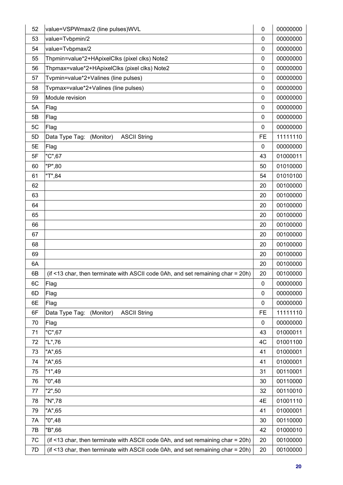| 52 | value=VSPWmax/2 (line pulses)WVL                                                | 0           | 00000000 |
|----|---------------------------------------------------------------------------------|-------------|----------|
| 53 | value=Tvbpmin/2                                                                 | 0           | 00000000 |
| 54 | value=Tvbpmax/2                                                                 |             | 00000000 |
| 55 | Thpmin=value*2+HApixelClks (pixel clks) Note2                                   | 0           | 00000000 |
| 56 | Thpmax=value*2+HApixelClks (pixel clks) Note2                                   | 0           | 00000000 |
| 57 | Tvpmin=value*2+Valines (line pulses)                                            |             | 00000000 |
| 58 | Tvpmax=value*2+Valines (line pulses)                                            | 0           | 00000000 |
| 59 | Module revision                                                                 | $\mathbf 0$ | 00000000 |
| 5A | Flag                                                                            | 0           | 00000000 |
| 5B | Flag                                                                            | 0           | 00000000 |
| 5C | Flag                                                                            | 0           | 00000000 |
| 5D | Data Type Tag:<br>(Monitor)<br><b>ASCII String</b>                              | <b>FE</b>   | 11111110 |
| 5E | Flag                                                                            | 0           | 00000000 |
| 5F | "C",67                                                                          | 43          | 01000011 |
| 60 | "P",80                                                                          | 50          | 01010000 |
| 61 | "T",84                                                                          | 54          | 01010100 |
| 62 |                                                                                 | 20          | 00100000 |
| 63 |                                                                                 | 20          | 00100000 |
| 64 |                                                                                 | 20          | 00100000 |
| 65 |                                                                                 | 20          | 00100000 |
| 66 |                                                                                 | 20          | 00100000 |
| 67 |                                                                                 | 20          | 00100000 |
| 68 |                                                                                 | 20          | 00100000 |
| 69 |                                                                                 | 20          | 00100000 |
| 6A |                                                                                 | 20          | 00100000 |
| 6B | (if <13 char, then terminate with ASCII code 0Ah, and set remaining char = 20h) | 20          | 00100000 |
| 6C | Flag                                                                            | 0           | 00000000 |
| 6D | Flag                                                                            | 0           | 00000000 |
| 6E | Flag                                                                            | 0           | 00000000 |
| 6F | Data Type Tag:<br>(Monitor)<br><b>ASCII String</b>                              | <b>FE</b>   | 11111110 |
| 70 | Flag                                                                            | $\mathbf 0$ | 00000000 |
| 71 | "C",67                                                                          | 43          | 01000011 |
| 72 | "L",76                                                                          | 4C          | 01001100 |
| 73 | "A",65                                                                          | 41          | 01000001 |
| 74 | "A",65                                                                          | 41          | 01000001 |
| 75 | "1",49"                                                                         | 31          | 00110001 |
| 76 | "0",48                                                                          | 30          | 00110000 |
| 77 | "2",50                                                                          | 32          | 00110010 |
| 78 | "N",78                                                                          | 4E          | 01001110 |
| 79 | "A",65                                                                          | 41          | 01000001 |
| 7A | "0",48                                                                          | 30          | 00110000 |
| 7B | "B",66                                                                          | 42          | 01000010 |
| 7C | (if <13 char, then terminate with ASCII code 0Ah, and set remaining char = 20h) | 20          | 00100000 |
| 7D | (if <13 char, then terminate with ASCII code 0Ah, and set remaining char = 20h) | 20          | 00100000 |